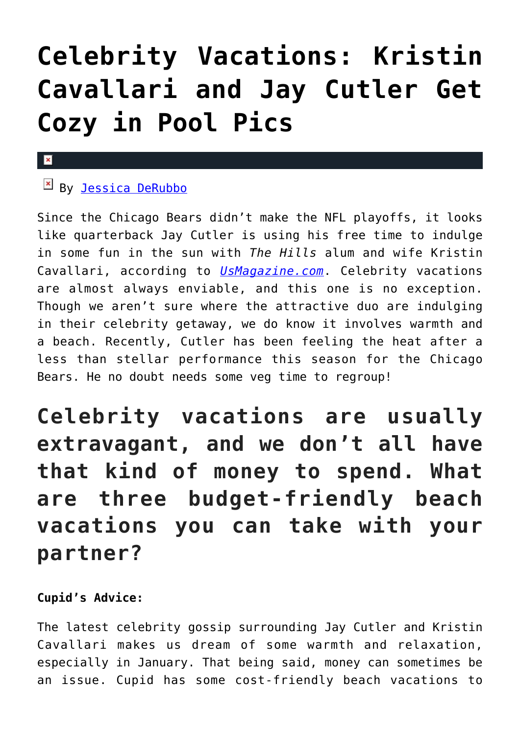## **[Celebrity Vacations: Kristin](https://cupidspulse.com/85064/celebrity-vacations-kristin-cavallari-jay-cutler-beach/) [Cavallari and Jay Cutler Get](https://cupidspulse.com/85064/celebrity-vacations-kristin-cavallari-jay-cutler-beach/) [Cozy in Pool Pics](https://cupidspulse.com/85064/celebrity-vacations-kristin-cavallari-jay-cutler-beach/)**

## $\mathbf{x}$

## $By$  [Jessica DeRubbo](http://cupidspulse.com/104599/jessica-derubbo/)

Since the Chicago Bears didn't make the NFL playoffs, it looks like quarterback Jay Cutler is using his free time to indulge in some fun in the sun with *The Hills* alum and wife Kristin Cavallari, according to *[UsMagazine.com](http://www.usmagazine.com/celebrity-body/news/kristin-cavallari-gets-cozy-with-shirtless-jay-cutler-in-cute-pool-pic-2015141)*. Celebrity vacations are almost always enviable, and this one is no exception. Though we aren't sure where the attractive duo are indulging in their celebrity getaway, we do know it involves warmth and a beach. Recently, Cutler has been feeling the heat after a less than stellar performance this season for the Chicago Bears. He no doubt needs some veg time to regroup!

**Celebrity vacations are usually extravagant, and we don't all have that kind of money to spend. What are three budget-friendly beach vacations you can take with your partner?**

## **Cupid's Advice:**

The latest celebrity gossip surrounding Jay Cutler and Kristin Cavallari makes us dream of some warmth and relaxation, especially in January. That being said, money can sometimes be an issue. Cupid has some cost-friendly beach vacations to